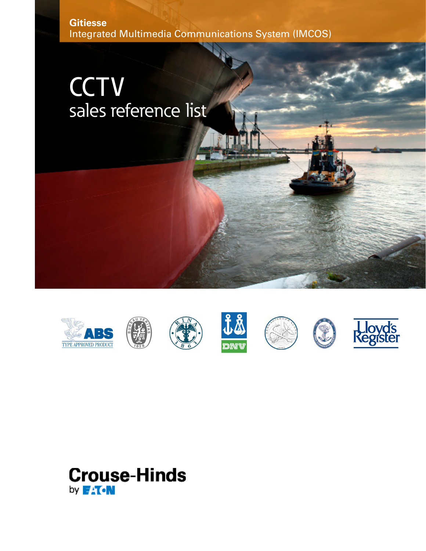**Gitiesse**  Integrated Multimedia Communications System (IMCOS)

# **CCTV** sales reference list















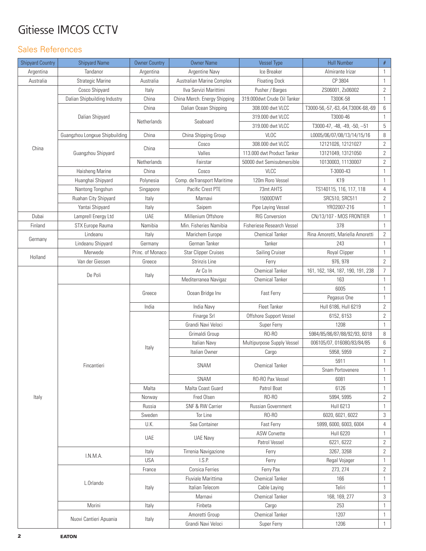# Gitiesse IMCOS CCTV

### Sales References

| <b>Shipyard Country</b> | <b>Shipyard Name</b>           | <b>Owner Country</b> | <b>Owner Name</b>                | <b>Vessel Type</b>          | <b>Hull Number</b>                | $\#$           |
|-------------------------|--------------------------------|----------------------|----------------------------------|-----------------------------|-----------------------------------|----------------|
| Argentina               | Tandanor                       | Argentina            | Argentine Navy                   | Ice Breaker                 | Almirante Irizar                  | 1              |
| Australia               | Strategic Marine               | Australia            | <b>Australian Marine Complex</b> | <b>Floating Dock</b>        | CP 3804                           | 1              |
| China                   | Cosco Shipyard                 | Italy                | Ilva Servizi Marittimi           | Pusher / Barges             | ZS06001, Zs06002                  | $\mathbf{2}$   |
|                         | Dalian Shipbuilding Industry   | China                | China Merch. Energy Shipping     | 319.000dwt Crude Oil Tanker | T300K-58                          | $\mathbf{1}$   |
|                         |                                | China                | Dalian Ocean Shipping            | 308.000 dwt VLCC            | T3000-56,-57,-63,-64,T300K-68,-69 | 6              |
|                         | Dalian Shipyard                |                      | Seaboard                         | 319.000 dwt VLCC            | T3000-46                          | $\mathbf{1}$   |
|                         |                                | Netherlands          |                                  | 319.000 dwt VLCC            | T3000-47, -48, -49, -50, --51     | 5              |
|                         | Guangzhou Longxue Shipbuilding | China                | China Shipping Group             | <b>VLOC</b>                 | L0005/06/07/08/13/14/15/16        | 8              |
|                         | Guangzhou Shipyard             | China                | Cosco                            | 308.000 dwt VLCC            | 12121026, 12121027                | $\mathbf{2}$   |
|                         |                                |                      | Valles                           | 113.000 dwt Product Tanker  | 13121049, 13121050                | $\overline{2}$ |
|                         |                                | Netherlands          | Fairstar                         | 50000 dwt Semisubmersible   | 10130003, 11130007                | $\mathbf{2}$   |
|                         | Haisheng Marine                | China                | Cosco                            | <b>VLCC</b>                 | T-3000-43                         | 1              |
|                         | Huanghai Shipyard              | Polynesia            | Comp. deTransport Maritime       | 120m Roro Vessel            | K19                               | 1              |
|                         | Nantong Tongshun               | Singapore            | Pacific Crest PTE                | 73mt AHTS                   | TS140115, 116, 117, 118           | 4              |
|                         | Ruahan City Shipyard           | Italy                | Marnavi                          | 15000DWT                    | SRC510, SRC511                    | $\overline{2}$ |
|                         | Yantai Shipyard                | Italy                | Saipem                           | Pipe Laying Vessel          | YR02007-216                       | 1              |
| Dubai                   | Lamprell Energy Ltd            | <b>UAE</b>           | Millenium Offshore               | <b>RIG Conversion</b>       | CN/13/107 - MOS FRONTIER          | 1              |
| Finland                 | STX Europe Rauma               | Namibia              | Min. Fisheries Namibia           | Fisheriese Research Vessel  | 378                               | $\mathbf{1}$   |
|                         | Lindeanu                       | Italy                | Marichem Europe                  | <b>Chemical Tanker</b>      | Rina Amoretti, Mariella Amoretti  | $\mathbf{2}$   |
| Germany                 | Lindeanu Shipyard              | Germany              | German Tanker                    | Tanker                      | 243                               | 1              |
|                         | Merwede                        | Princ. of Monaco     | <b>Star Clipper Cruises</b>      | Sailing Cruiser             | Royal Clipper                     | 1              |
| Holland                 | Van der Giessen                | Greece               | Strinzis Line                    | Ferry                       | 976, 978                          | $\overline{2}$ |
|                         |                                | Italy                | Ar Co In                         | <b>Chemical Tanker</b>      | 161, 162, 184, 187, 190, 191, 238 | 7              |
|                         | De Poli                        |                      | Mediterranea Navigaz             | <b>Chemical Tanker</b>      | 163                               | $\mathbf{1}$   |
|                         |                                | Greece               | Ocean Bridge Inv<br>Fast Ferry   |                             | 6005                              | $\mathbf{1}$   |
|                         |                                |                      |                                  | Pegasus One                 | 1                                 |                |
|                         |                                | India                | India Navy                       | Fleet Tanker                | Hull 6186, Hull 6219              | 2              |
|                         |                                |                      | Finarge Srl                      | Offshore Support Vessel     | 6152, 6153                        | $\mathbf{2}$   |
|                         |                                |                      | Grandi Navi Veloci               | Super Ferry                 | 1208                              | 1              |
|                         |                                |                      | Grimaldi Group                   | RO-RO                       | 5984/85/86/87/88/92/93, 6018      | 8              |
|                         |                                |                      | Italian Navy                     | Multipurpose Supply Vessel  | 006105/07, 016080/83/84/85        | 6              |
|                         |                                | Italy                | Italian Owner                    | Cargo                       | 5958, 5959                        | $\mathbf{2}$   |
|                         | Fincantieri                    |                      | SNAM                             | <b>Chemical Tanker</b>      | 5911                              | $\mathbf{1}$   |
|                         |                                |                      |                                  |                             | Snam Portovenere                  | $1\,$          |
|                         |                                |                      | SNAM                             | RO-RO Pax Vessel            | 6081                              | 1              |
|                         |                                | Malta                | Malta Coast Guard                | Patrol Boat                 | 6126                              | 1              |
| Italy                   |                                | Norway               | Fred Olsen                       | RO-RO                       | 5994, 5995                        | $\mathbf{2}$   |
|                         |                                | Russia               | SNF & RW Carrier                 | Russian Government          | <b>Hull 6213</b>                  | 1              |
|                         |                                | Sweden               | Tor Line                         | RO-RO                       | 6020, 6021, 6022                  | 3              |
|                         |                                | U.K.                 | Sea Container                    | Fast Ferry                  | 5999, 6000, 6003, 6004            | 4              |
|                         |                                | <b>UAE</b>           | <b>UAE Navy</b>                  | <b>ASW Corvette</b>         | <b>Hull 6220</b>                  | 1              |
|                         |                                |                      |                                  | Patrol Vessel               | 6221, 6222                        | 2              |
|                         | I.N.M.A.                       | Italy                | Tirrenia Navigazione             | Ferry                       | 3267, 3268                        | $\mathbf{2}$   |
|                         |                                | <b>USA</b>           | I.S.P.                           | Ferry                       | Regal Vojager                     | $\mathbf{1}$   |
|                         | L.Orlando                      | France               | Corsica Ferries                  | Ferry Pax                   | 273, 274                          | 2              |
|                         |                                | Italy                | Fluviale Marittima               | <b>Chemical Tanker</b>      | 166                               | 1              |
|                         |                                |                      | Italian Telecom                  | Cable Laying                | Teliri                            | 1              |
|                         |                                |                      | Marnavi                          | <b>Chemical Tanker</b>      | 168, 169, 277                     | 3              |
|                         | Morini                         | Italy                | Finbeta                          | Cargo                       | 253                               | $\mathbf{1}$   |
|                         | Nuovi Cantieri Apuania         | Italy                | Amoretti Group                   | <b>Chemical Tanker</b>      | 1207                              | $\mathbf{1}$   |
|                         |                                |                      | Grandi Navi Veloci               | Super Ferry                 | 1206                              | $\mathbf{1}$   |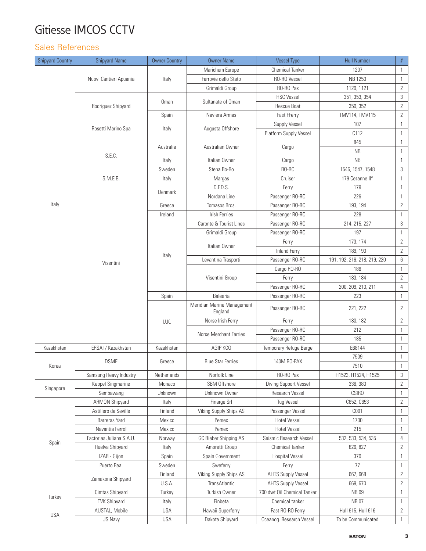# Gitiesse IMCOS CCTV

## Sales References

| <b>Shipyard Country</b> | <b>Shipyard Name</b>                  | <b>Owner Country</b> | <b>Owner Name</b>                       | <b>Vessel Type</b>                              | <b>Hull Number</b>           | $\#$                           |
|-------------------------|---------------------------------------|----------------------|-----------------------------------------|-------------------------------------------------|------------------------------|--------------------------------|
|                         |                                       |                      | Marichem Europe                         | <b>Chemical Tanker</b>                          | 1207                         | $\overline{1}$                 |
|                         | Nuovi Cantieri Apuania                | Italy                | Ferrovie dello Stato                    | RO-RO Vessel                                    | NB 1250                      | $\overline{1}$                 |
|                         |                                       |                      | Grimaldi Group                          | RO-RO Pax                                       | 1120, 1121                   | $\overline{2}$                 |
|                         |                                       |                      |                                         | <b>HSC Vessel</b>                               | 351, 353, 354                | 3                              |
|                         | Rodriguez Shipyard                    | Oman                 | Sultanate of Oman                       | Rescue Boat                                     | 350, 352                     | $\overline{2}$                 |
|                         |                                       | Spain                | Naviera Armas                           | Fast FFerry                                     | TMV114, TMV115               | $\overline{2}$                 |
|                         |                                       |                      | Augusta Offshore                        | Supply Vessel                                   | 107                          | $\mathbf{1}$                   |
|                         | Rosetti Marino Spa                    | Italy                |                                         | Platform Supply Vessel                          | C112                         | $\mathbf{1}$                   |
|                         | S.E.C.                                | Australia            | Australian Owner                        | Cargo                                           | 845                          | $\mathbf{1}$                   |
|                         |                                       |                      |                                         |                                                 | <b>NB</b>                    | $\overline{1}$                 |
|                         |                                       | Italy                | Italian Owner                           | Cargo                                           | <b>NB</b>                    | $\overline{1}$                 |
|                         |                                       | Sweden               | Stena Ro-Ro                             | RO-RO                                           | 1546, 1547, 1548             | 3                              |
|                         | S.M.E.B.                              | Italy                | Margas                                  | Cruiser                                         | 179 Cezanne II°              | $\mathbf{1}$                   |
|                         |                                       |                      | D.F.D.S.                                | Ferry                                           | 179                          | $\overline{1}$                 |
|                         |                                       | Denmark              | Nordana Line                            | Passenger RO-RO                                 | 226                          | $\overline{1}$                 |
| Italy                   |                                       | Greece               | Tomasos Bros.                           | Passenger RO-RO                                 | 193, 194                     | $\overline{2}$                 |
|                         |                                       | Ireland              | <b>Irish Ferries</b>                    | Passenger RO-RO                                 | 228                          | $\overline{1}$                 |
|                         |                                       |                      | Caronte & Tourist Lines                 | Passenger RO-RO                                 | 214, 215, 227                | 3                              |
|                         |                                       |                      | Grimaldi Group                          | Passenger RO-RO                                 | 197                          | $\mathbf{1}$                   |
|                         |                                       |                      |                                         | Ferry                                           | 173, 174                     | $\mathbf{2}$                   |
|                         | Visentini                             | Italy                | Italian Owner                           | <b>Inland Ferry</b>                             | 189, 190                     | $\overline{2}$                 |
|                         |                                       |                      | Levantina Trasporti                     | Passenger RO-RO                                 | 191, 192, 216, 218, 219, 220 | 6                              |
|                         |                                       |                      | Visentini Group                         | Cargo RO-RO                                     | 186                          | $\overline{1}$                 |
|                         |                                       |                      |                                         | Ferry                                           | 183, 184                     | $\overline{2}$                 |
|                         |                                       |                      |                                         | Passenger RO-RO                                 | 200, 209, 210, 211           | 4                              |
|                         |                                       | Spain                | Balearia                                | Passenger RO-RO                                 | 223                          | $\mathbf{1}$                   |
|                         |                                       | U.K.                 | Meridian Marine Management<br>England   | Passenger RO-RO                                 | 221, 222                     | 2                              |
|                         |                                       |                      | Norse Irish Ferry                       | Ferry                                           | 180, 182                     | $\mathbf{2}$                   |
|                         |                                       |                      | Norse Merchant Ferries                  | Passenger RO-RO                                 | 212                          | $\overline{1}$                 |
|                         |                                       |                      |                                         | Passenger RO-RO                                 | 185                          | $\mathbf{1}$                   |
| Kazakhstan              | ERSAI / Kazakhstan                    | Kazakhstan           | AGIP KCO                                | Temporary Refuge Barge                          | E68144                       | $\overline{1}$                 |
|                         | <b>DSME</b>                           | Greece               | <b>Blue Star Ferries</b>                | 140M RO-PAX                                     | 7509                         | $\overline{1}$                 |
| Korea                   |                                       |                      |                                         |                                                 | 7510                         | $\overline{1}$                 |
|                         | Samsung Heavy Industry                | Netherlands          | Norfolk Line                            | RO-RO Pax                                       | H1523, H1524, H1525          | 3                              |
|                         | Keppel Singmarine                     | Monaco               | SBM Offshore                            | Diving Support Vessel                           | 336, 380                     | 2                              |
| Singapore               | Sembawang                             | Unknown              | Unknown Owner                           | <b>Research Vessel</b>                          | <b>CSIRO</b>                 | $\mathbf{1}$                   |
|                         | <b>ARMON Shipyard</b>                 | Italy                | Finarge Srl                             | Tug Vessel                                      | C652, C653                   | 2                              |
|                         | Astillero de Seville                  | Finland              | Viking Supply Ships AS                  | Passenger Vessel                                | C001                         | $\overline{1}$                 |
|                         | <b>Barreras Yard</b>                  | Mexico               | Pemex                                   | <b>Hotel Vessel</b>                             | 1700                         | $\overline{1}$                 |
|                         | Navantia Ferrol                       | Mexico               | Pemex                                   | <b>Hotel Vessel</b>                             | 215                          | 1                              |
|                         | Factorias Juliana S.A.U.              | Norway               | GC Rieber Shipping AS                   | Seismic Research Vessel                         | 532, 533, 534, 535           | 4                              |
| Spain                   | Huelva Shipyard                       | Italy                | Amoretti Group                          | <b>Chemical Tanker</b>                          | 826, 827                     | 2                              |
|                         |                                       |                      |                                         |                                                 |                              |                                |
|                         | IZAR - Gijon                          | Spain<br>Sweden      | Spain Government<br>Sweferry            | <b>Hospital Vessel</b><br>Ferry                 | 370<br>77                    | $\mathbf{1}$<br>$\overline{1}$ |
|                         | Puerto Real<br>Zamakona Shipyard      | Finland              |                                         |                                                 |                              |                                |
|                         |                                       | U.S.A.               | Viking Supply Ships AS<br>TransAtlantic | AHTS Supply Vessel<br><b>AHTS Supply Vessel</b> | 667,668<br>669, 670          | 2                              |
|                         | Cimtas Shipyard                       |                      | Turkish Owner                           | 700 dwt Oil Chemical Tanker                     | NB 09                        | $\mathbf{2}$<br>$\overline{1}$ |
| Turkey                  |                                       | Turkey               | Finbeta                                 | Chemical tanker                                 | <b>NB07</b>                  |                                |
|                         | <b>TVK Shipyard</b><br>AUSTAL, Mobile | Italy<br><b>USA</b>  | Hawaii Superferry                       | Fast RO-RO Ferry                                | Hull 615, Hull 616           | $\mathbf{1}$                   |
| <b>USA</b>              |                                       |                      |                                         |                                                 |                              | 2                              |
|                         | US Navy                               | <b>USA</b>           | Dakota Shipyard                         | Oceanog. Research Vessel                        | To be Communicated           | $\mathbf{1}$                   |